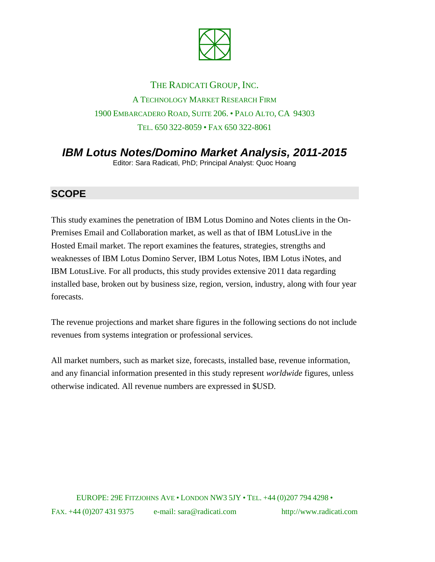

# THE RADICATI GROUP, INC. A TECHNOLOGY MARKET RESEARCH FIRM 1900 EMBARCADERO ROAD, SUITE 206. • PALO ALTO, CA 94303 TEL. 650 322-8059 • FAX 650 322-8061

# *IBM Lotus Notes/Domino Market Analysis, 2011-2015*

Editor: Sara Radicati, PhD; Principal Analyst: Quoc Hoang

#### **SCOPE**

This study examines the penetration of IBM Lotus Domino and Notes clients in the On-Premises Email and Collaboration market, as well as that of IBM LotusLive in the Hosted Email market. The report examines the features, strategies, strengths and weaknesses of IBM Lotus Domino Server, IBM Lotus Notes, IBM Lotus iNotes, and IBM LotusLive. For all products, this study provides extensive 2011 data regarding installed base, broken out by business size, region, version, industry, along with four year forecasts.

The revenue projections and market share figures in the following sections do not include revenues from systems integration or professional services.

All market numbers, such as market size, forecasts, installed base, revenue information, and any financial information presented in this study represent *worldwide* figures, unless otherwise indicated. All revenue numbers are expressed in \$USD.

EUROPE: 29E FITZJOHNS AVE • LONDON NW3 5JY • TEL. +44 (0)207 794 4298 • FAX. +44 (0)207 431 9375 e-mail: sara@radicati.com http://www.radicati.com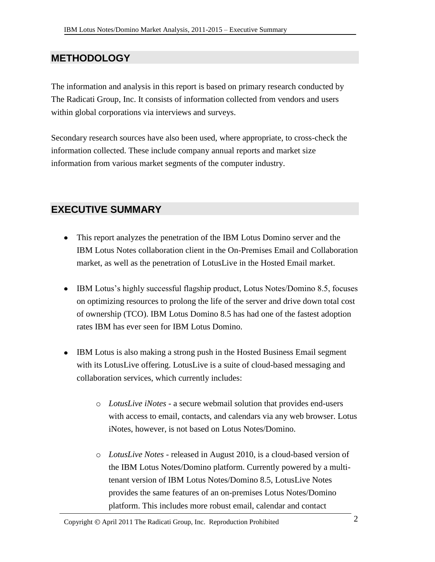### **METHODOLOGY**

The information and analysis in this report is based on primary research conducted by The Radicati Group, Inc. It consists of information collected from vendors and users within global corporations via interviews and surveys.

Secondary research sources have also been used, where appropriate, to cross-check the information collected. These include company annual reports and market size information from various market segments of the computer industry.

### **EXECUTIVE SUMMARY**

- This report analyzes the penetration of the IBM Lotus Domino server and the IBM Lotus Notes collaboration client in the On-Premises Email and Collaboration market, as well as the penetration of LotusLive in the Hosted Email market.
- IBM Lotus's highly successful flagship product, Lotus Notes/Domino 8.5, focuses on optimizing resources to prolong the life of the server and drive down total cost of ownership (TCO). IBM Lotus Domino 8.5 has had one of the fastest adoption rates IBM has ever seen for IBM Lotus Domino.
- IBM Lotus is also making a strong push in the Hosted Business Email segment with its LotusLive offering. LotusLive is a suite of cloud-based messaging and collaboration services, which currently includes:
	- o *LotusLive iNotes* a secure webmail solution that provides end-users with access to email, contacts, and calendars via any web browser. Lotus iNotes, however, is not based on Lotus Notes/Domino.
	- o *LotusLive Notes* released in August 2010, is a cloud-based version of the IBM Lotus Notes/Domino platform. Currently powered by a multitenant version of IBM Lotus Notes/Domino 8.5, LotusLive Notes provides the same features of an on-premises Lotus Notes/Domino platform. This includes more robust email, calendar and contact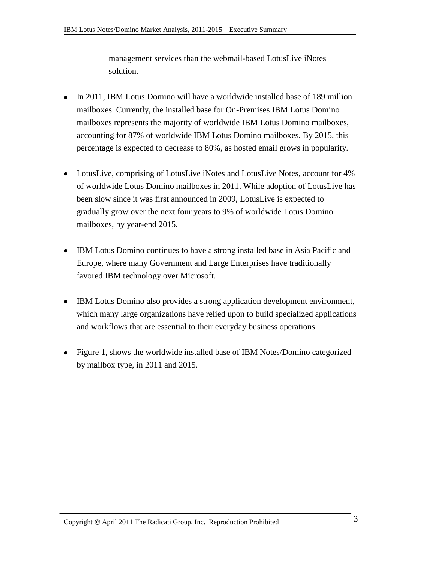management services than the webmail-based LotusLive iNotes solution.

- In 2011, IBM Lotus Domino will have a worldwide installed base of 189 million mailboxes. Currently, the installed base for On-Premises IBM Lotus Domino mailboxes represents the majority of worldwide IBM Lotus Domino mailboxes, accounting for 87% of worldwide IBM Lotus Domino mailboxes. By 2015, this percentage is expected to decrease to 80%, as hosted email grows in popularity.
- LotusLive, comprising of LotusLive iNotes and LotusLive Notes, account for 4% of worldwide Lotus Domino mailboxes in 2011. While adoption of LotusLive has been slow since it was first announced in 2009, LotusLive is expected to gradually grow over the next four years to 9% of worldwide Lotus Domino mailboxes, by year-end 2015.
- IBM Lotus Domino continues to have a strong installed base in Asia Pacific and Europe, where many Government and Large Enterprises have traditionally favored IBM technology over Microsoft.
- IBM Lotus Domino also provides a strong application development environment, which many large organizations have relied upon to build specialized applications and workflows that are essential to their everyday business operations.
- Figure 1, shows the worldwide installed base of IBM Notes/Domino categorized by mailbox type, in 2011 and 2015.